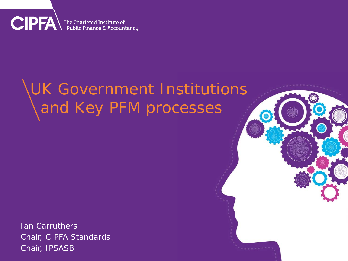**CIPFA** The Chartered Institute of

# UK Government Institutions and Key PFM processes

Ian Carruthers Chair, CIPFA Standards Chair, IPSASB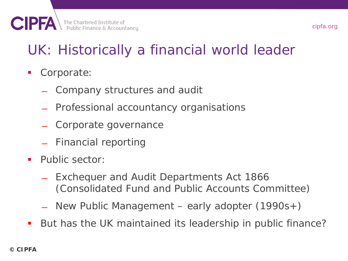# UK: Historically a financial world leader

**Corporate:** 

- ̶ Company structures and audit
- ̶ Professional accountancy organisations
- ̶ Corporate governance
- ̶ Financial reporting
- **Public sector:** 
	- Exchequer and Audit Departments Act 1866 (Consolidated Fund and Public Accounts Committee)
	- ̶ New Public Management early adopter (1990s+)
- But has the UK maintained its leadership in public finance?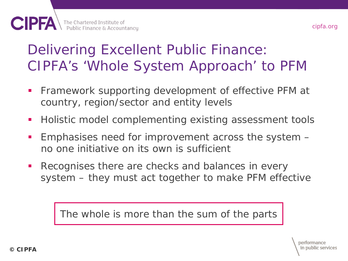#### Delivering Excellent Public Finance: CIPFA's 'Whole System Approach' to PFM

- **Firamework supporting development of effective PFM at** country, region/sector and entity levels
- Holistic model complementing existing assessment tools
- Emphasises need for improvement across the system no one initiative on its own is sufficient
- **Recognises there are checks and balances in every** system – they must act together to make PFM effective

The whole is more than the sum of the parts

cipfa.org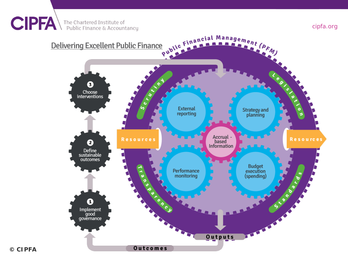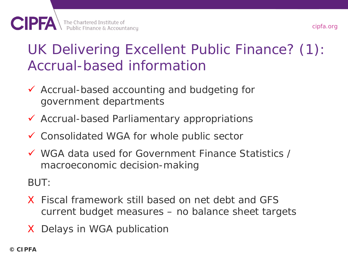#### UK Delivering Excellent Public Finance? (1): Accrual-based information

- Accrual-based accounting and budgeting for government departments
- $\checkmark$  Accrual-based Parliamentary appropriations
- Consolidated WGA for whole public sector
- WGA data used for Government Finance Statistics / macroeconomic decision-making

#### BUT:

- X Fiscal framework still based on net debt and GFS current budget measures – no balance sheet targets
- X Delays in WGA publication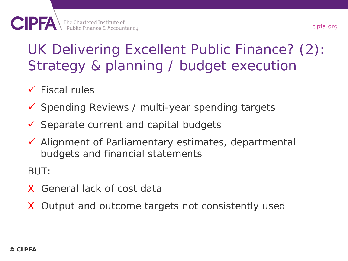## UK Delivering Excellent Public Finance? (2): Strategy & planning / budget execution

- $\checkmark$  Fiscal rules
- $\checkmark$  Spending Reviews / multi-year spending targets
- $\checkmark$  Separate current and capital budgets
- $\checkmark$  Alignment of Parliamentary estimates, departmental budgets and financial statements

BUT:

- X General lack of cost data
- X Output and outcome targets not consistently used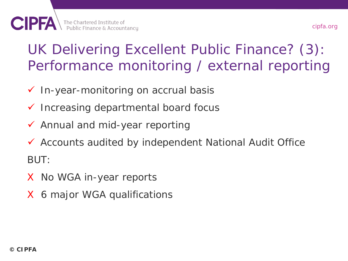#### UK Delivering Excellent Public Finance? (3): Performance monitoring / external reporting

- $\checkmark$  In-year-monitoring on accrual basis
- $\checkmark$  Increasing departmental board focus
- $\checkmark$  Annual and mid-year reporting
- Accounts audited by independent National Audit Office BUT:
- X No WGA in-year reports
- X 6 major WGA qualifications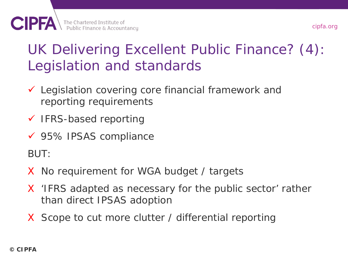#### UK Delivering Excellent Public Finance? (4): Legislation and standards

- Legislation covering core financial framework and reporting requirements
- $\checkmark$  IFRS-based reporting
- 95% IPSAS compliance

BUT:

- X No requirement for WGA budget / targets
- X 'IFRS adapted as necessary for the public sector' rather than direct IPSAS adoption
- X Scope to cut more clutter / differential reporting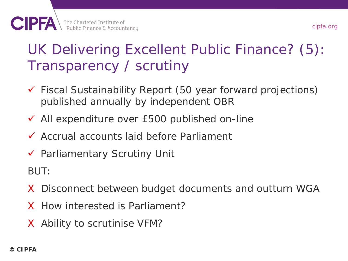## UK Delivering Excellent Public Finance? (5): Transparency / scrutiny

- Fiscal Sustainability Report (50 year forward projections) published annually by independent OBR
- $\checkmark$  All expenditure over £500 published on-line
- Accrual accounts laid before Parliament
- $\checkmark$  Parliamentary Scrutiny Unit

BUT:

- X Disconnect between budget documents and outturn WGA
- X How interested is Parliament?
- X Ability to scrutinise VFM?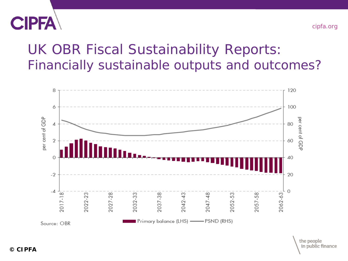

#### UK OBR Fiscal Sustainability Reports: Financially sustainable outputs and outcomes?



the people in public finance

cipfa.org